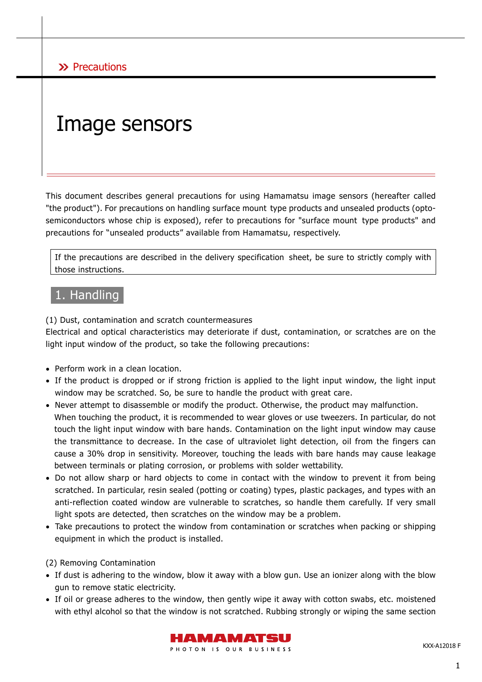# Image sensors

This document describes general precautions for using Hamamatsu image sensors (hereafter called "the product"). For precautions on handling surface mount type products and unsealed products (optosemiconductors whose chip is exposed), refer to precautions for "surface mount type products" and precautions for "unsealed products" available from Hamamatsu, respectively.

If the precautions are described in the delivery specification sheet, be sure to strictly comply with those instructions.

# 1. Handling

(1) Dust, contamination and scratch countermeasures

Electrical and optical characteristics may deteriorate if dust, contamination, or scratches are on the light input window of the product, so take the following precautions:

- Perform work in a clean location.
- If the product is dropped or if strong friction is applied to the light input window, the light input window may be scratched. So, be sure to handle the product with great care.
- Never attempt to disassemble or modify the product. Otherwise, the product may malfunction. When touching the product, it is recommended to wear gloves or use tweezers. In particular, do not touch the light input window with bare hands. Contamination on the light input window may cause the transmittance to decrease. In the case of ultraviolet light detection, oil from the fingers can cause a 30% drop in sensitivity. Moreover, touching the leads with bare hands may cause leakage between terminals or plating corrosion, or problems with solder wettability.
- Do not allow sharp or hard objects to come in contact with the window to prevent it from being scratched. In particular, resin sealed (potting or coating) types, plastic packages, and types with an anti-reflection coated window are vulnerable to scratches, so handle them carefully. If very small light spots are detected, then scratches on the window may be a problem.
- Take precautions to protect the window from contamination or scratches when packing or shipping equipment in which the product is installed.

#### (2) Removing Contamination

- If dust is adhering to the window, blow it away with a blow gun. Use an ionizer along with the blow gun to remove static electricity.
- If oil or grease adheres to the window, then gently wipe it away with cotton swabs, etc. moistened with ethyl alcohol so that the window is not scratched. Rubbing strongly or wiping the same section



KXX-A12018 F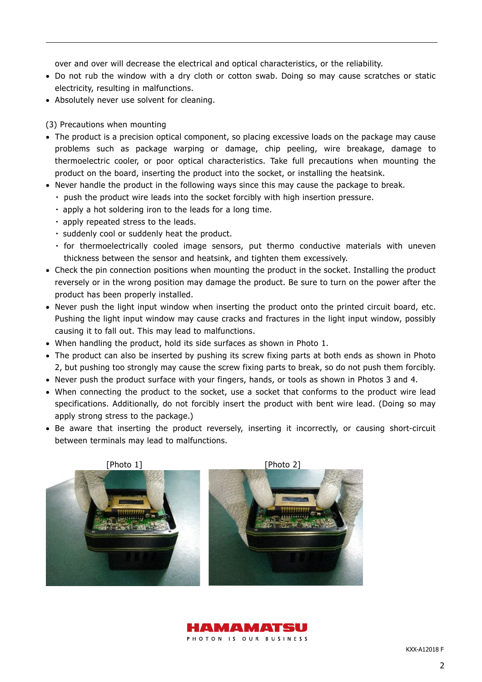over and over will decrease the electrical and optical characteristics, or the reliability.

- Do not rub the window with a dry cloth or cotton swab. Doing so may cause scratches or static electricity, resulting in malfunctions.
- Absolutely never use solvent for cleaning.

#### (3) Precautions when mounting

- The product is a precision optical component, so placing excessive loads on the package may cause problems such as package warping or damage, chip peeling, wire breakage, damage to thermoelectric cooler, or poor optical characteristics. Take full precautions when mounting the product on the board, inserting the product into the socket, or installing the heatsink.
- Never handle the product in the following ways since this may cause the package to break.
	- ・ push the product wire leads into the socket forcibly with high insertion pressure.
	- ・ apply a hot soldering iron to the leads for a long time.
	- ・ apply repeated stress to the leads.
	- ・ suddenly cool or suddenly heat the product.
	- ・ for thermoelectrically cooled image sensors, put thermo conductive materials with uneven thickness between the sensor and heatsink, and tighten them excessively.
- Check the pin connection positions when mounting the product in the socket. Installing the product reversely or in the wrong position may damage the product. Be sure to turn on the power after the product has been properly installed.
- Never push the light input window when inserting the product onto the printed circuit board, etc. Pushing the light input window may cause cracks and fractures in the light input window, possibly causing it to fall out. This may lead to malfunctions.
- When handling the product, hold its side surfaces as shown in Photo 1.
- The product can also be inserted by pushing its screw fixing parts at both ends as shown in Photo 2, but pushing too strongly may cause the screw fixing parts to break, so do not push them forcibly.
- Never push the product surface with your fingers, hands, or tools as shown in Photos 3 and 4.
- When connecting the product to the socket, use a socket that conforms to the product wire lead specifications. Additionally, do not forcibly insert the product with bent wire lead. (Doing so may apply strong stress to the package.)
- Be aware that inserting the product reversely, inserting it incorrectly, or causing short-circuit between terminals may lead to malfunctions.





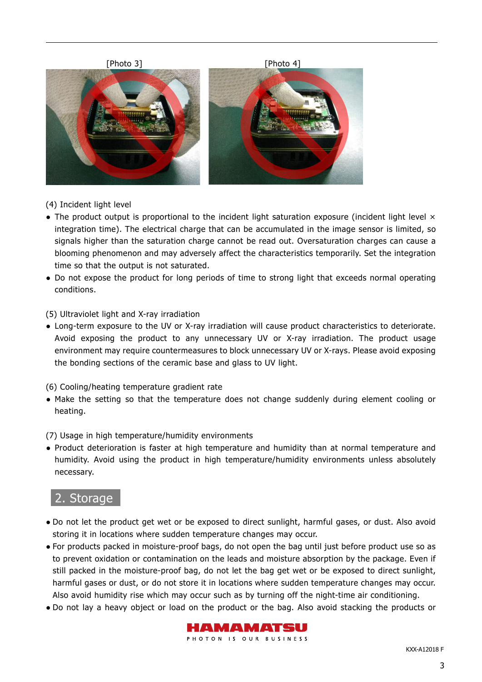





(4) Incident light level

- The product output is proportional to the incident light saturation exposure (incident light level  $\times$ integration time). The electrical charge that can be accumulated in the image sensor is limited, so signals higher than the saturation charge cannot be read out. Oversaturation charges can cause a blooming phenomenon and may adversely affect the characteristics temporarily. Set the integration time so that the output is not saturated.
- Do not expose the product for long periods of time to strong light that exceeds normal operating conditions.

(5) Ultraviolet light and X-ray irradiation

● Long-term exposure to the UV or X-ray irradiation will cause product characteristics to deteriorate. Avoid exposing the product to any unnecessary UV or X-ray irradiation. The product usage environment may require countermeasures to block unnecessary UV or X-rays. Please avoid exposing the bonding sections of the ceramic base and glass to UV light.

(6) Cooling/heating temperature gradient rate

● Make the setting so that the temperature does not change suddenly during element cooling or heating.

(7) Usage in high temperature/humidity environments

● Product deterioration is faster at high temperature and humidity than at normal temperature and humidity. Avoid using the product in high temperature/humidity environments unless absolutely necessary.

# 2. Storage

- Do not let the product get wet or be exposed to direct sunlight, harmful gases, or dust. Also avoid storing it in locations where sudden temperature changes may occur.
- For products packed in moisture-proof bags, do not open the bag until just before product use so as to prevent oxidation or contamination on the leads and moisture absorption by the package. Even if still packed in the moisture-proof bag, do not let the bag get wet or be exposed to direct sunlight, harmful gases or dust, or do not store it in locations where sudden temperature changes may occur. Also avoid humidity rise which may occur such as by turning off the night-time air conditioning.
- Do not lay a heavy object or load on the product or the bag. Also avoid stacking the products or



PHOTON IS OUR BUSINESS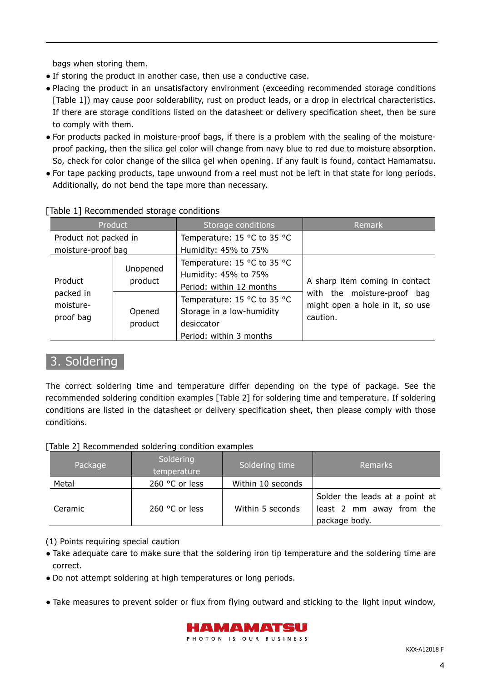bags when storing them.

- If storing the product in another case, then use a conductive case.
- Placing the product in an unsatisfactory environment (exceeding recommended storage conditions [Table 1]) may cause poor solderability, rust on product leads, or a drop in electrical characteristics. If there are storage conditions listed on the datasheet or delivery specification sheet, then be sure to comply with them.
- For products packed in moisture-proof bags, if there is a problem with the sealing of the moistureproof packing, then the silica gel color will change from navy blue to red due to moisture absorption. So, check for color change of the silica gel when opening. If any fault is found, contact Hamamatsu.
- For tape packing products, tape unwound from a reel must not be left in that state for long periods. Additionally, do not bend the tape more than necessary.

| Product                                        |                     | Storage conditions          | Remark                                                                                                       |
|------------------------------------------------|---------------------|-----------------------------|--------------------------------------------------------------------------------------------------------------|
| Product not packed in                          |                     | Temperature: 15 °C to 35 °C |                                                                                                              |
| moisture-proof bag                             |                     | Humidity: 45% to 75%        |                                                                                                              |
| Product<br>packed in<br>moisture-<br>proof bag | Unopened<br>product | Temperature: 15 °C to 35 °C | A sharp item coming in contact<br>with the moisture-proof bag<br>might open a hole in it, so use<br>caution. |
|                                                |                     | Humidity: 45% to 75%        |                                                                                                              |
|                                                |                     | Period: within 12 months    |                                                                                                              |
|                                                | Opened<br>product   | Temperature: 15 °C to 35 °C |                                                                                                              |
|                                                |                     | Storage in a low-humidity   |                                                                                                              |
|                                                |                     | desiccator                  |                                                                                                              |
|                                                |                     | Period: within 3 months     |                                                                                                              |

# [Table 1] Recommended storage conditions

# 3. Soldering

The correct soldering time and temperature differ depending on the type of package. See the recommended soldering condition examples [Table 2] for soldering time and temperature. If soldering conditions are listed in the datasheet or delivery specification sheet, then please comply with those conditions.

[Table 2] Recommended soldering condition examples

| Package | Soldering<br>temperature | Soldering time    | <b>Remarks</b>                                                              |
|---------|--------------------------|-------------------|-----------------------------------------------------------------------------|
| Metal   | 260 °C or less           | Within 10 seconds |                                                                             |
| Ceramic | 260 °C or less           | Within 5 seconds  | Solder the leads at a point at<br>least 2 mm away from the<br>package body. |

(1) Points requiring special caution

- Take adequate care to make sure that the soldering iron tip temperature and the soldering time are correct.
- Do not attempt soldering at high temperatures or long periods.
- Take measures to prevent solder or flux from flying outward and sticking to the light input window,

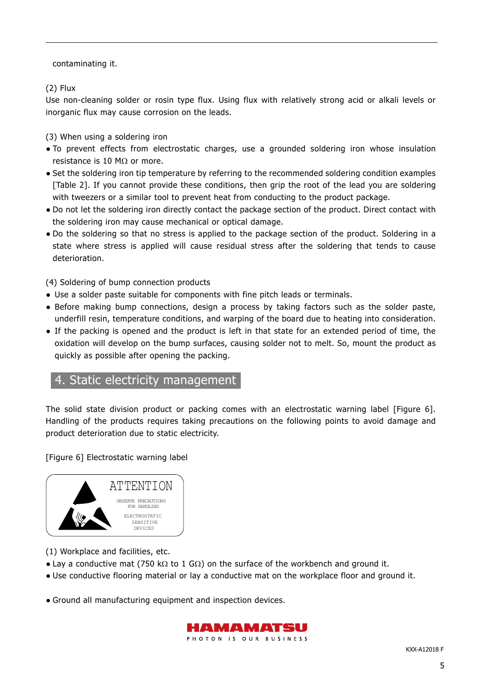contaminating it.

(2) Flux

Use non-cleaning solder or rosin type flux. Using flux with relatively strong acid or alkali levels or inorganic flux may cause corrosion on the leads.

(3) When using a soldering iron

- To prevent effects from electrostatic charges, use a grounded soldering iron whose insulation resistance is 10 M $\Omega$  or more.
- Set the soldering iron tip temperature by referring to the recommended soldering condition examples [Table 2]. If you cannot provide these conditions, then grip the root of the lead you are soldering with tweezers or a similar tool to prevent heat from conducting to the product package.
- Do not let the soldering iron directly contact the package section of the product. Direct contact with the soldering iron may cause mechanical or optical damage.
- Do the soldering so that no stress is applied to the package section of the product. Soldering in a state where stress is applied will cause residual stress after the soldering that tends to cause deterioration.

(4) Soldering of bump connection products

- Use a solder paste suitable for components with fine pitch leads or terminals.
- Before making bump connections, design a process by taking factors such as the solder paste, underfill resin, temperature conditions, and warping of the board due to heating into consideration.
- If the packing is opened and the product is left in that state for an extended period of time, the oxidation will develop on the bump surfaces, causing solder not to melt. So, mount the product as quickly as possible after opening the packing.

# 4. Static electricity management

The solid state division product or packing comes with an electrostatic warning label [Figure 6]. Handling of the products requires taking precautions on the following points to avoid damage and product deterioration due to static electricity.

[Figure 6] Electrostatic warning label



(1) Workplace and facilities, etc.

- Lay a conductive mat (750 kΩ to 1 GΩ) on the surface of the workbench and ground it.
- Use conductive flooring material or lay a conductive mat on the workplace floor and ground it.
- Ground all manufacturing equipment and inspection devices.

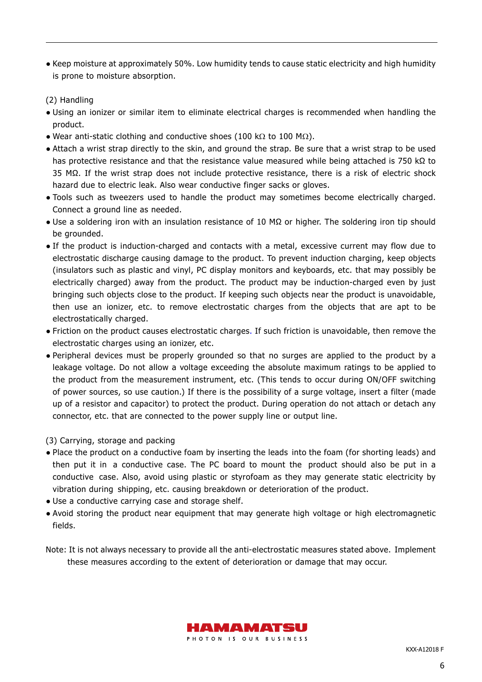● Keep moisture at approximately 50%. Low humidity tends to cause static electricity and high humidity is prone to moisture absorption.

#### (2) Handling

- Using an ionizer or similar item to eliminate electrical charges is recommended when handling the product.
- Wear anti-static clothing and conductive shoes (100 kΩ to 100 MΩ).
- Attach a wrist strap directly to the skin, and ground the strap. Be sure that a wrist strap to be used has protective resistance and that the resistance value measured while being attached is 750 kΩ to 35 MΩ. If the wrist strap does not include protective resistance, there is a risk of electric shock hazard due to electric leak. Also wear conductive finger sacks or gloves.
- Tools such as tweezers used to handle the product may sometimes become electrically charged. Connect a ground line as needed.
- Use a soldering iron with an insulation resistance of 10 MΩ or higher. The soldering iron tip should be grounded.
- If the product is induction-charged and contacts with a metal, excessive current may flow due to electrostatic discharge causing damage to the product. To prevent induction charging, keep objects (insulators such as plastic and vinyl, PC display monitors and keyboards, etc. that may possibly be electrically charged) away from the product. The product may be induction-charged even by just bringing such objects close to the product. If keeping such objects near the product is unavoidable, then use an ionizer, etc. to remove electrostatic charges from the objects that are apt to be electrostatically charged.
- Friction on the product causes electrostatic charges. If such friction is unavoidable, then remove the electrostatic charges using an ionizer, etc.
- Peripheral devices must be properly grounded so that no surges are applied to the product by a leakage voltage. Do not allow a voltage exceeding the absolute maximum ratings to be applied to the product from the measurement instrument, etc. (This tends to occur during ON/OFF switching of power sources, so use caution.) If there is the possibility of a surge voltage, insert a filter (made up of a resistor and capacitor) to protect the product. During operation do not attach or detach any connector, etc. that are connected to the power supply line or output line.

#### (3) Carrying, storage and packing

- Place the product on a conductive foam by inserting the leads into the foam (for shorting leads) and then put it in a conductive case. The PC board to mount the product should also be put in a conductive case. Also, avoid using plastic or styrofoam as they may generate static electricity by vibration during shipping, etc. causing breakdown or deterioration of the product.
- Use a conductive carrying case and storage shelf.
- Avoid storing the product near equipment that may generate high voltage or high electromagnetic fields.
- Note: It is not always necessary to provide all the anti-electrostatic measures stated above. Implement these measures according to the extent of deterioration or damage that may occur.

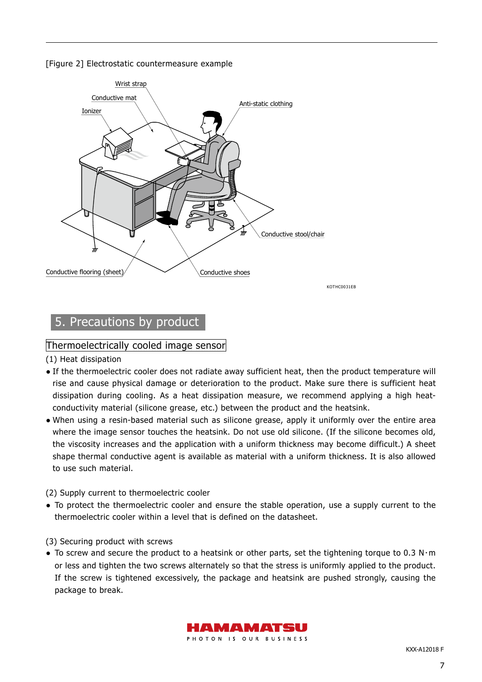[Figure 2] Electrostatic countermeasure example



# 5. Precautions by product

## Thermoelectrically cooled image sensor

(1) Heat dissipation

- If the thermoelectric cooler does not radiate away sufficient heat, then the product temperature will rise and cause physical damage or deterioration to the product. Make sure there is sufficient heat dissipation during cooling. As a heat dissipation measure, we recommend applying a high heatconductivity material (silicone grease, etc.) between the product and the heatsink.
- When using a resin-based material such as silicone grease, apply it uniformly over the entire area where the image sensor touches the heatsink. Do not use old silicone. (If the silicone becomes old, the viscosity increases and the application with a uniform thickness may become difficult.) A sheet shape thermal conductive agent is available as material with a uniform thickness. It is also allowed to use such material.

#### (2) Supply current to thermoelectric cooler

● To protect the thermoelectric cooler and ensure the stable operation, use a supply current to the thermoelectric cooler within a level that is defined on the datasheet.

(3) Securing product with screws

● To screw and secure the product to a heatsink or other parts, set the tightening torque to 0.3 N・m or less and tighten the two screws alternately so that the stress is uniformly applied to the product. If the screw is tightened excessively, the package and heatsink are pushed strongly, causing the package to break.

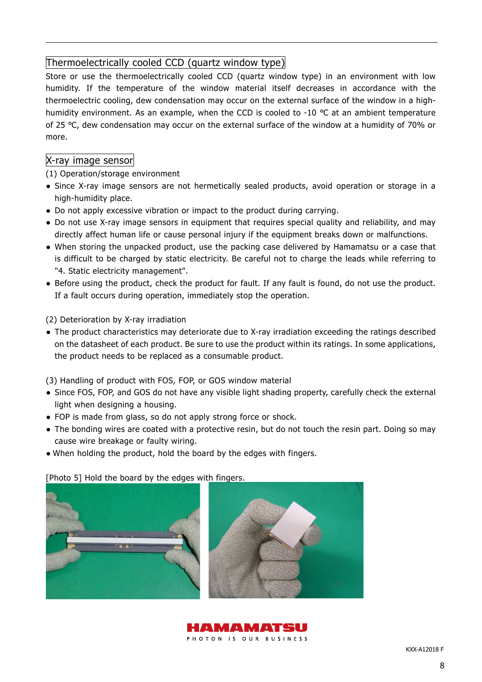# Thermoelectrically cooled CCD (quartz window type)

Store or use the thermoelectrically cooled CCD (quartz window type) in an environment with low humidity. If the temperature of the window material itself decreases in accordance with the thermoelectric cooling, dew condensation may occur on the external surface of the window in a highhumidity environment. As an example, when the CCD is cooled to -10 ℃ at an ambient temperature of 25 ℃, dew condensation may occur on the external surface of the window at a humidity of 70% or more.

# X-ray image sensor

(1) Operation/storage environment

- Since X-ray image sensors are not hermetically sealed products, avoid operation or storage in a high-humidity place.
- Do not apply excessive vibration or impact to the product during carrying.
- Do not use X-ray image sensors in equipment that requires special quality and reliability, and may directly affect human life or cause personal injury if the equipment breaks down or malfunctions.
- When storing the unpacked product, use the packing case delivered by Hamamatsu or a case that is difficult to be charged by static electricity. Be careful not to charge the leads while referring to "4. Static electricity management".
- Before using the product, check the product for fault. If any fault is found, do not use the product. If a fault occurs during operation, immediately stop the operation.

(2) Deterioration by X-ray irradiation

• The product characteristics may deteriorate due to X-ray irradiation exceeding the ratings described on the datasheet of each product. Be sure to use the product within its ratings. In some applications, the product needs to be replaced as a consumable product.

(3) Handling of product with FOS, FOP, or GOS window material

- Since FOS, FOP, and GOS do not have any visible light shading property, carefully check the external light when designing a housing.
- FOP is made from glass, so do not apply strong force or shock.
- The bonding wires are coated with a protective resin, but do not touch the resin part. Doing so may cause wire breakage or faulty wiring.
- When holding the product, hold the board by the edges with fingers.

[Photo 5] Hold the board by the edges with fingers.



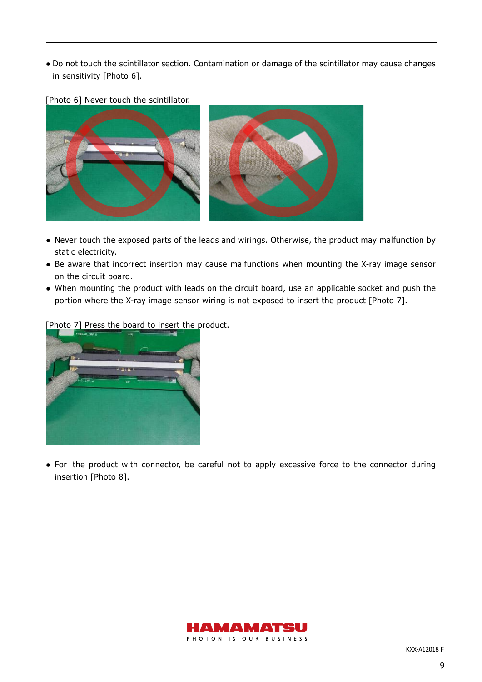● Do not touch the scintillator section. Contamination or damage of the scintillator may cause changes in sensitivity [Photo 6].

[Photo 6] Never touch the scintillator.



- Never touch the exposed parts of the leads and wirings. Otherwise, the product may malfunction by static electricity.
- Be aware that incorrect insertion may cause malfunctions when mounting the X-ray image sensor on the circuit board.
- When mounting the product with leads on the circuit board, use an applicable socket and push the portion where the X-ray image sensor wiring is not exposed to insert the product [Photo 7].



[Photo 7] Press the board to insert the product.

• For the product with connector, be careful not to apply excessive force to the connector during insertion [Photo 8].

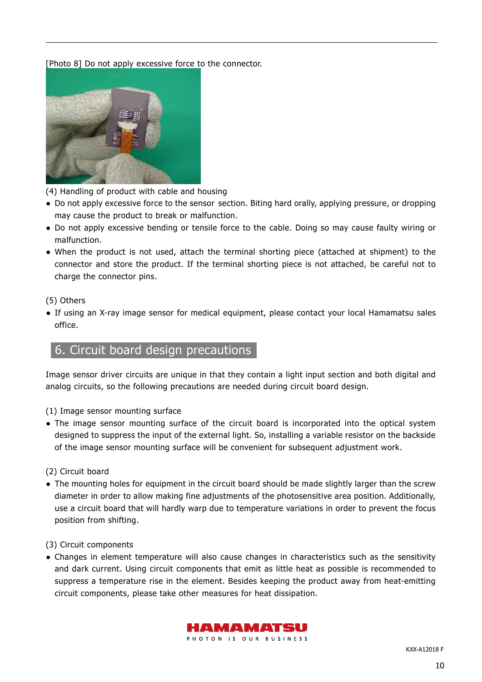#### [Photo 8] Do not apply excessive force to the connector.



(4) Handling of product with cable and housing

- Do not apply excessive force to the sensor section. Biting hard orally, applying pressure, or dropping may cause the product to break or malfunction.
- Do not apply excessive bending or tensile force to the cable. Doing so may cause faulty wiring or malfunction.
- When the product is not used, attach the terminal shorting piece (attached at shipment) to the connector and store the product. If the terminal shorting piece is not attached, be careful not to charge the connector pins.

#### (5) Others

• If using an X-ray image sensor for medical equipment, please contact your local Hamamatsu sales office.

# 6. Circuit board design precautions

Image sensor driver circuits are unique in that they contain a light input section and both digital and analog circuits, so the following precautions are needed during circuit board design.

- (1) Image sensor mounting surface
- The image sensor mounting surface of the circuit board is incorporated into the optical system designed to suppress the input of the external light. So, installing a variable resistor on the backside of the image sensor mounting surface will be convenient for subsequent adjustment work.

(2) Circuit board

• The mounting holes for equipment in the circuit board should be made slightly larger than the screw diameter in order to allow making fine adjustments of the photosensitive area position. Additionally, use a circuit board that will hardly warp due to temperature variations in order to prevent the focus position from shifting.

(3) Circuit components

● Changes in element temperature will also cause changes in characteristics such as the sensitivity and dark current. Using circuit components that emit as little heat as possible is recommended to suppress a temperature rise in the element. Besides keeping the product away from heat-emitting circuit components, please take other measures for heat dissipation.

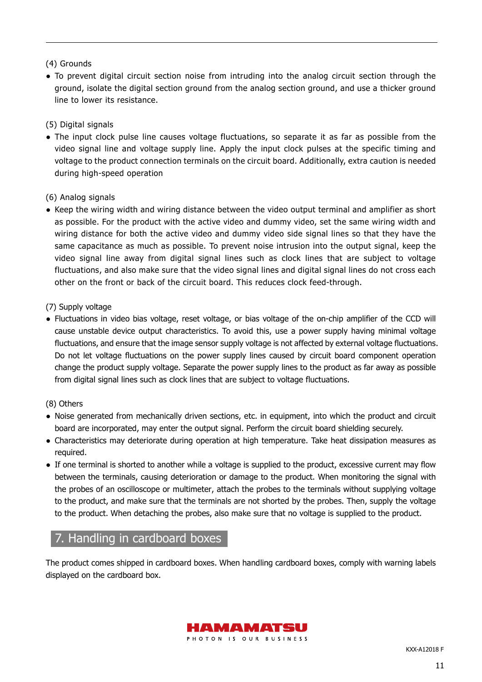## (4) Grounds

● To prevent digital circuit section noise from intruding into the analog circuit section through the ground, isolate the digital section ground from the analog section ground, and use a thicker ground line to lower its resistance.

# (5) Digital signals

• The input clock pulse line causes voltage fluctuations, so separate it as far as possible from the video signal line and voltage supply line. Apply the input clock pulses at the specific timing and voltage to the product connection terminals on the circuit board. Additionally, extra caution is needed during high-speed operation

## (6) Analog signals

● Keep the wiring width and wiring distance between the video output terminal and amplifier as short as possible. For the product with the active video and dummy video, set the same wiring width and wiring distance for both the active video and dummy video side signal lines so that they have the same capacitance as much as possible. To prevent noise intrusion into the output signal, keep the video signal line away from digital signal lines such as clock lines that are subject to voltage fluctuations, and also make sure that the video signal lines and digital signal lines do not cross each other on the front or back of the circuit board. This reduces clock feed-through.

## (7) Supply voltage

● Fluctuations in video bias voltage, reset voltage, or bias voltage of the on-chip amplifier of the CCD will cause unstable device output characteristics. To avoid this, use a power supply having minimal voltage fluctuations, and ensure that the image sensor supply voltage is not affected by external voltage fluctuations. Do not let voltage fluctuations on the power supply lines caused by circuit board component operation change the product supply voltage. Separate the power supply lines to the product as far away as possible from digital signal lines such as clock lines that are subject to voltage fluctuations.

#### (8) Others

- Noise generated from mechanically driven sections, etc. in equipment, into which the product and circuit board are incorporated, may enter the output signal. Perform the circuit board shielding securely.
- Characteristics may deteriorate during operation at high temperature. Take heat dissipation measures as required.
- If one terminal is shorted to another while a voltage is supplied to the product, excessive current may flow between the terminals, causing deterioration or damage to the product. When monitoring the signal with the probes of an oscilloscope or multimeter, attach the probes to the terminals without supplying voltage to the product, and make sure that the terminals are not shorted by the probes. Then, supply the voltage to the product. When detaching the probes, also make sure that no voltage is supplied to the product.

# 7. Handling in cardboard boxes

The product comes shipped in cardboard boxes. When handling cardboard boxes, comply with warning labels displayed on the cardboard box.